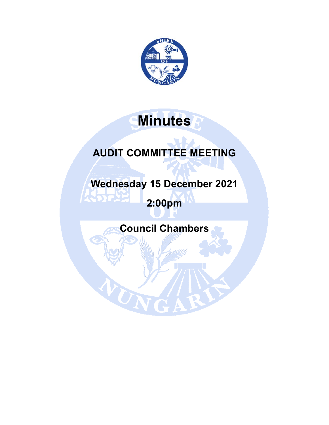

# **Minutes**

## **AUDIT COMMITTEE MEETING**

**Wednesday 15 December 2021** 

**2:00pm** 

Т

**Council Chambers** 

W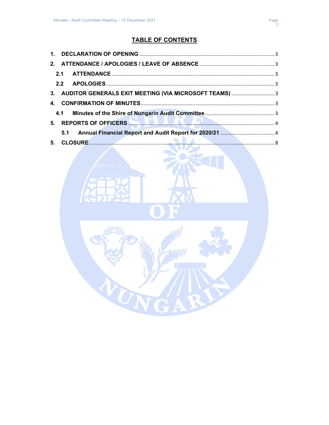### TABLE OF CONTENTS

|  | 3. AUDITOR GENERALS EXIT MEETING (VIA MICROSOFT TEAMS) 3                                                                                                                                                                             |  |
|--|--------------------------------------------------------------------------------------------------------------------------------------------------------------------------------------------------------------------------------------|--|
|  |                                                                                                                                                                                                                                      |  |
|  |                                                                                                                                                                                                                                      |  |
|  | 5. REPORTS OF OFFICERS <b>And the contract of the contract of the contract of the contract of the contract of the contract of the contract of the contract of the contract of the contract of the contract of the contract of th</b> |  |
|  |                                                                                                                                                                                                                                      |  |
|  |                                                                                                                                                                                                                                      |  |

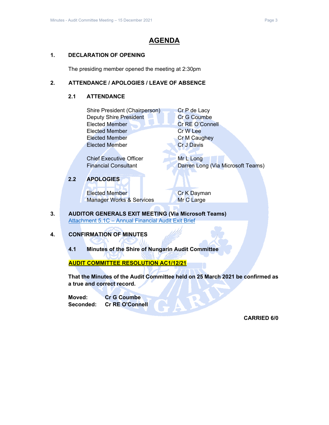#### **AGENDA**

#### **1. DECLARATION OF OPENING**

The presiding member opened the meeting at 2:30pm

#### **2. ATTENDANCE / APOLOGIES / LEAVE OF ABSENCE**

#### **2.1 ATTENDANCE**

| Shire President (Chairperson) | Cr P de Lacy        |
|-------------------------------|---------------------|
| <b>Deputy Shire President</b> | Cr G Coumbe         |
| <b>Elected Member</b>         | Cr RE O'Connell     |
| <b>Elected Member</b>         | Cr W Lee            |
| <b>Elected Member</b>         | <b>Cr M Caughey</b> |
| <b>Elected Member</b>         | <b>Cr J Davis</b>   |
|                               |                     |

Chief Executive Officer Mr L Long Financial Consultant Darren Long (Via Microsoft Teams)

#### **2.2 APOLOGIES**

Elected Member **Cr K Dayman** Manager Works & Services Mr C Large

**3. AUDITOR GENERALS EXIT MEETING (Via Microsoft Teams)**  Attachment 5.1C – Annual Financial Audit Exit Brief

#### **4. CONFIRMATION OF MINUTES**

**4.1 Minutes of the Shire of Nungarin Audit Committee** 

#### **AUDIT COMMITTEE RESOLUTION AC1/12/21**

**That the Minutes of the Audit Committee held on 25 March 2021 be confirmed as a true and correct record.** 

**Moved: Cr G Coumbe Seconded: Cr RE O'Connell**

**CARRIED 6/0**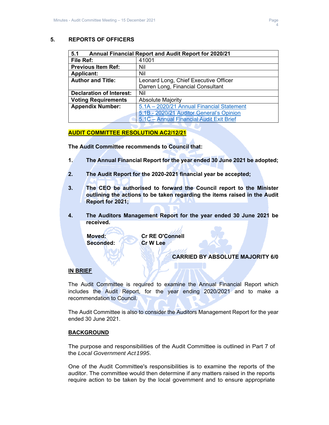#### **5. REPORTS OF OFFICERS**

| 5.1<br><b>Annual Financial Report and Audit Report for 2020/21</b> |                                           |  |  |  |
|--------------------------------------------------------------------|-------------------------------------------|--|--|--|
| File Ref:                                                          | 41001                                     |  |  |  |
| <b>Previous Item Ref:</b>                                          | Nil                                       |  |  |  |
| <b>Applicant:</b>                                                  | Nil                                       |  |  |  |
| <b>Author and Title:</b>                                           | Leonard Long, Chief Executive Officer     |  |  |  |
|                                                                    | Darren Long, Financial Consultant         |  |  |  |
| <b>Declaration of Interest:</b>                                    | Nil                                       |  |  |  |
| <b>Voting Requirements</b>                                         | <b>Absolute Majority</b>                  |  |  |  |
| <b>Appendix Number:</b>                                            | 5.1A - 2020/21 Annual Financial Statement |  |  |  |
|                                                                    | 5.1B - 2020/21 Auditor General's Opinion  |  |  |  |
|                                                                    | 5.1C - Annual Financial Audit Exit Brief  |  |  |  |

#### **AUDIT COMMITTEE RESOLUTION AC2/12/21**

**The Audit Committee recommends to Council that:** 

- **1. The Annual Financial Report for the year ended 30 June 2021 be adopted;**
- **2. The Audit Report for the 2020-2021 financial year be accepted;**
- **3. The CEO be authorised to forward the Council report to the Minister outlining the actions to be taken regarding the items raised in the Audit Report for 2021;**
- **4. The Auditors Management Report for the year ended 30 June 2021 be received.**

 **Moved: Cr RE O'Connell**  Seconded: **Cr W Lee** 

#### **CARRIED BY ABSOLUTE MAJORITY 6/0**

#### **IN BRIEF**

The Audit Committee is required to examine the Annual Financial Report which includes the Audit Report, for the year ending 2020/2021 and to make a recommendation to Council.

The Audit Committee is also to consider the Auditors Management Report for the year ended 30 June 2021.

#### **BACKGROUND**

The purpose and responsibilities of the Audit Committee is outlined in Part 7 of the *Local Government Act 1995*.

One of the Audit Committee's responsibilities is to examine the reports of the auditor. The committee would then determine if any matters raised in the reports require action to be taken by the local government and to ensure appropriate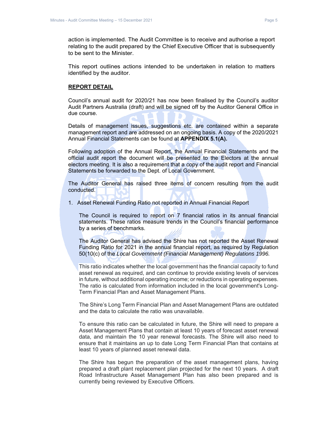action is implemented. The Audit Committee is to receive and authorise a report relating to the audit prepared by the Chief Executive Officer that is subsequently to be sent to the Minister.

This report outlines actions intended to be undertaken in relation to matters identified by the auditor.

#### **REPORT DETAIL**

Council's annual audit for 2020/21 has now been finalised by the Council's auditor Audit Partners Australia (draft) and will be signed off by the Auditor General Office in due course.

Details of management issues, suggestions etc. are contained within a separate management report and are addressed on an ongoing basis. A copy of the 2020/2021 Annual Financial Statements can be found at **APPENDIX 5.1(A).**

Following adoption of the Annual Report, the Annual Financial Statements and the official audit report the document will be presented to the Electors at the annual electors meeting. It is also a requirement that a copy of the audit report and Financial Statements be forwarded to the Dept. of Local Government.

The Auditor General has raised three items of concern resulting from the audit conducted.

1. Asset Renewal Funding Ratio not reported in Annual Financial Report

The Council is required to report on 7 financial ratios in its annual financial statements. These ratios measure trends in the Council's financial performance by a series of benchmarks.

The Auditor General has advised the Shire has not reported the Asset Renewal Funding Ratio for 2021 in the annual financial report, as required by Regulation 50(10(c) of the *Local Government (Financial Management) Regulations 1996.*

This ratio indicates whether the local government has the financial capacity to fund asset renewal as required, and can continue to provide existing levels of services in future, without additional operating income; or reductions in operating expenses. The ratio is calculated from information included in the local government's Long-Term Financial Plan and Asset Management Plans.

The Shire's Long Term Financial Plan and Asset Management Plans are outdated and the data to calculate the ratio was unavailable.

To ensure this ratio can be calculated in future, the Shire will need to prepare a Asset Management Plans that contain at least 10 years of forecast asset renewal data, and maintain the 10 year renewal forecasts. The Shire will also need to ensure that it maintains an up to date Long Term Financial Plan that contains at least 10 years of planned asset renewal data.

The Shire has begun the preparation of the asset management plans, having prepared a draft plant replacement plan projected for the next 10 years. A draft Road Infrastructure Asset Management Plan has also been prepared and is currently being reviewed by Executive Officers.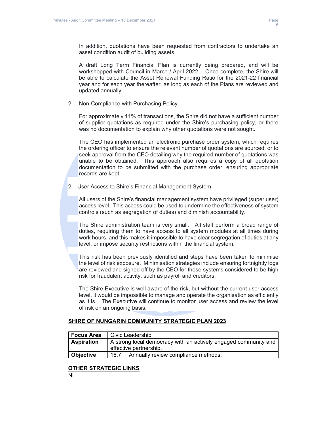

In addition, quotations have been requested from contractors to undertake an asset condition audit of building assets.

A draft Long Term Financial Plan is currently being prepared, and will be workshopped with Council in March / April 2022. Once complete, the Shire will be able to calculate the Asset Renewal Funding Ratio for the 2021-22 financial year and for each year thereafter, as long as each of the Plans are reviewed and updated annually.

2. Non-Compliance with Purchasing Policy

For approximately 11% of transactions, the Shire did not have a sufficient number of supplier quotations as required under the Shire's purchasing policy, or there was no documentation to explain why other quotations were not sought.

The CEO has implemented an electronic purchase order system, which requires the ordering officer to ensure the relevant number of quotations are sourced, or to seek approval from the CEO detailing why the required number of quotations was unable to be obtained. This approach also requires a copy of all quotation documentation to be submitted with the purchase order, ensuring appropriate records are kept.

2. User Access to Shire's Financial Management System

All users of the Shire's financial management system have privileged (super user) access level. This access could be used to undermine the effectiveness of system controls (such as segregation of duties) and diminish accountability.

The Shire administration team is very small. All staff perform a broad range of duties, requiring them to have access to all system modules at all times during work hours, and this makes it impossible to have clear segregation of duties at any level, or impose security restrictions within the financial system.

This risk has been previously identified and steps have been taken to minimise the level of risk exposure. Minimisation strategies include ensuring fortnightly logs are reviewed and signed off by the CEO for those systems considered to be high risk for fraudulent activity, such as payroll and creditors.

The Shire Executive is well aware of the risk, but without the current user access level, it would be impossible to manage and operate the organisation as efficiently as it is. The Executive will continue to monitor user access and review the level of risk on an ongoing basis.

#### **SHIRE OF NUNGARIN COMMUNITY STRATEGIC PLAN 2023**

| <b>Focus Area</b> | Civic Leadership                                                                          |
|-------------------|-------------------------------------------------------------------------------------------|
| <b>Aspiration</b> | A strong local democracy with an actively engaged community and<br>effective partnership. |
|                   |                                                                                           |
| <b>Objective</b>  | Annually review compliance methods.<br>16.7                                               |

#### **OTHER STRATEGIC LINKS**

Nil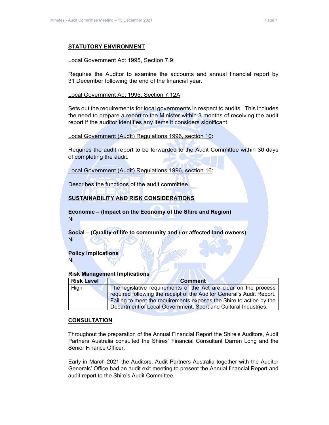#### **STATUTORY ENVIRONMENT**

#### Local Government Act 1995, Section 7.9:

Requires the Auditor to examine the accounts and annual financial report by 31 December following the end of the financial year.

Local Government Act 1995, Section 7.12A:

Sets out the requirements for local governments in respect to audits. This includes the need to prepare a report to the Minister within 3 months of receiving the audit report if the auditor identifies any items it considers significant.

Local Government (Audit) Regulations 1996, section 10:

Requires the audit report to be forwarded to the Audit Committee within 30 days of completing the audit.

Local Government (Audit) Regulations 1996, section 16:

Describes the functions of the audit committee.

#### **SUSTAINABILITY AND RISK CONSIDERATIONS**

**Economic – (Impact on the Economy of the Shire and Region)** Nil

**Social – (Quality of life to community and / or affected land owners)**  Nil

**Policy Implications** Nil

**Risk Management Implications** 

| <b>Risk Level</b> | <b>Comment</b>                                                        |
|-------------------|-----------------------------------------------------------------------|
| High              | The legislative requirements of the Act are clear on the process      |
|                   | required following the receipt of the Auditor General's Audit Report. |
|                   | Failing to meet the requirements exposes the Shire to action by the   |
|                   | Department of Local Government, Sport and Cultural Industries.        |

#### **CONSULTATION**

Throughout the preparation of the Annual Financial Report the Shire's Auditors, Audit Partners Australia consulted the Shires' Financial Consultant Darren Long and the Senior Finance Officer.

Early in March 2021 the Auditors, Audit Partners Australia together with the Auditor Generals' Office had an audit exit meeting to present the Annual financial Report and audit report to the Shire's Audit Committee.